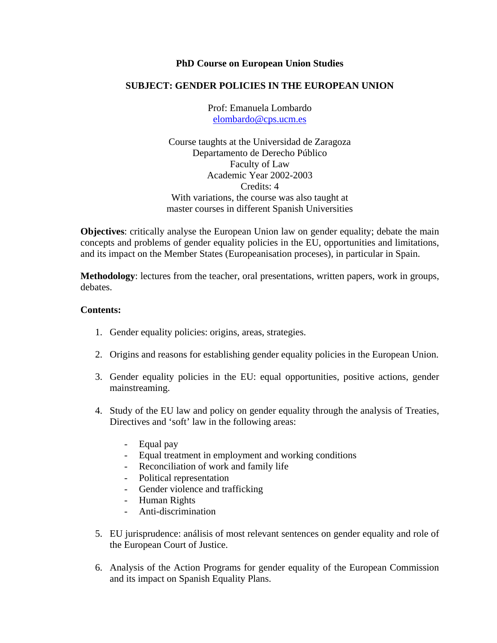## **PhD Course on European Union Studies**

## **SUBJECT: GENDER POLICIES IN THE EUROPEAN UNION**

Prof: Emanuela Lombardo [elombardo@cps.ucm.es](mailto:elombardo@cps.ucm.es)

Course taughts at the Universidad de Zaragoza Departamento de Derecho Público Faculty of Law Academic Year 2002-2003 Credits: 4 With variations, the course was also taught at master courses in different Spanish Universities

**Objectives**: critically analyse the European Union law on gender equality; debate the main concepts and problems of gender equality policies in the EU, opportunities and limitations, and its impact on the Member States (Europeanisation proceses), in particular in Spain.

**Methodology**: lectures from the teacher, oral presentations, written papers, work in groups, debates.

## **Contents:**

- 1. Gender equality policies: origins, areas, strategies.
- 2. Origins and reasons for establishing gender equality policies in the European Union.
- 3. Gender equality policies in the EU: equal opportunities, positive actions, gender mainstreaming.
- 4. Study of the EU law and policy on gender equality through the analysis of Treaties, Directives and 'soft' law in the following areas:
	- Equal pay
	- Equal treatment in employment and working conditions
	- Reconciliation of work and family life
	- Political representation
	- Gender violence and trafficking
	- Human Rights
	- Anti-discrimination
- 5. EU jurisprudence: análisis of most relevant sentences on gender equality and role of the European Court of Justice.
- 6. Analysis of the Action Programs for gender equality of the European Commission and its impact on Spanish Equality Plans.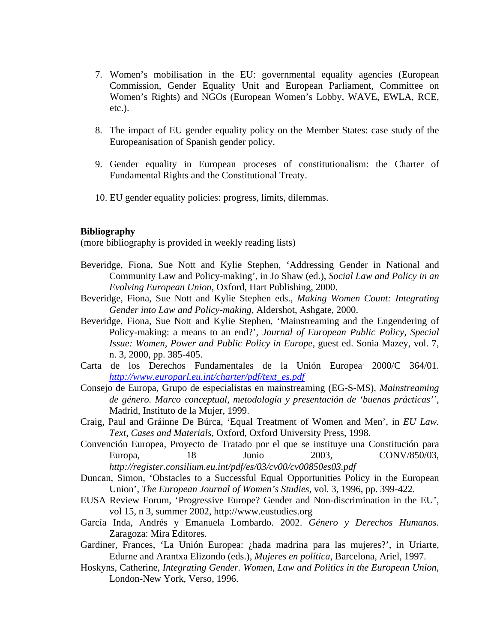- 7. Women's mobilisation in the EU: governmental equality agencies (European Commission, Gender Equality Unit and European Parliament, Committee on Women's Rights) and NGOs (European Women's Lobby, WAVE, EWLA, RCE, etc.).
- 8. The impact of EU gender equality policy on the Member States: case study of the Europeanisation of Spanish gender policy.
- 9. Gender equality in European proceses of constitutionalism: the Charter of Fundamental Rights and the Constitutional Treaty.
- 10. EU gender equality policies: progress, limits, dilemmas.

## **Bibliography**

(more bibliography is provided in weekly reading lists)

- Beveridge, Fiona, Sue Nott and Kylie Stephen, 'Addressing Gender in National and Community Law and Policy-making', in Jo Shaw (ed.), *Social Law and Policy in an Evolving European Union*, Oxford, Hart Publishing, 2000.
- Beveridge, Fiona, Sue Nott and Kylie Stephen eds., *Making Women Count: Integrating Gender into Law and Policy-making,* Aldershot, Ashgate, 2000.
- Beveridge, Fiona, Sue Nott and Kylie Stephen, 'Mainstreaming and the Engendering of Policy-making: a means to an end?', *Journal of European Public Policy, Special Issue: Women, Power and Public Policy in Europe*, guest ed. Sonia Mazey, vol. 7, n. 3, 2000, pp. 385-405.
- Carta de los Derechos Fundamentales de la Unión Europea<sup>,</sup> 2000/C 364/01. *[http://www.europarl.eu.int/charter/pdf/text\\_es.pdf](http://www.europarl.eu.int/charter/pdf/text_es.pdf)*
- Consejo de Europa, Grupo de especialistas en mainstreaming (EG-S-MS), *Mainstreaming de género. Marco conceptual, metodología y presentación de 'buenas prácticas''*, Madrid, Instituto de la Mujer, 1999.
- Craig, Paul and Gráinne De Búrca, 'Equal Treatment of Women and Men', in *EU Law. Text, Cases and Materials*, Oxford, Oxford University Press, 1998.
- Convención Europea, Proyecto de Tratado por el que se instituye una Constitución para Europa, 18 Junio 2003, CONV/850/03, *http://register.consilium.eu.int/pdf/es/03/cv00/cv00850es03.pdf*
- Duncan, Simon, 'Obstacles to a Successful Equal Opportunities Policy in the European Union', *The European Journal of Women's Studies*, vol. 3, 1996, pp. 399-422.
- EUSA Review Forum, 'Progressive Europe? Gender and Non-discrimination in the EU', vol 15, n 3, summer 2002, http://www.eustudies.org
- García Inda, Andrés y Emanuela Lombardo. 2002. *Género y Derechos Humanos*. Zaragoza: Mira Editores.
- Gardiner, Frances, 'La Unión Europea: ¿hada madrina para las mujeres?', in Uriarte, Edurne and Arantxa Elizondo (eds.), *Mujeres en política*, Barcelona, Ariel, 1997.
- Hoskyns, Catherine, *Integrating Gender. Women, Law and Politics in the European Union*, London-New York, Verso, 1996.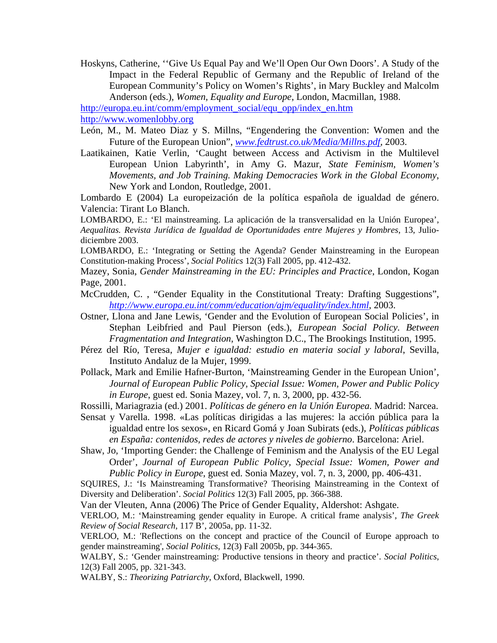Hoskyns, Catherine, ''Give Us Equal Pay and We'll Open Our Own Doors'. A Study of the Impact in the Federal Republic of Germany and the Republic of Ireland of the European Community's Policy on Women's Rights', in Mary Buckley and Malcolm Anderson (eds.), *Women, Equality and Europe*, London, Macmillan, 1988.

[http://europa.eu.int/comm/employment\\_social/equ\\_opp/index\\_en.htm](http://europa.eu.int/comm/employment_social/equ_opp/index_en.htm)

[http://www.womenlobby.org](http://www.womenlobby.org/)

- León, M., M. Mateo Diaz y S. Millns, "Engendering the Convention: Women and the Future of the European Union", *[www.fedtrust.co.uk/Media/Millns.pdf](http://www.fedtrust.co.uk/Media/Millns.pdf)*, 2003.
- Laatikainen, Katie Verlin, 'Caught between Access and Activism in the Multilevel European Union Labyrinth', in Amy G. Mazur, *State Feminism, Women's Movements, and Job Training. Making Democracies Work in the Global Economy*, New York and London, Routledge, 2001.

Lombardo E (2004) La europeización de la política española de igualdad de género. Valencia: Tirant Lo Blanch.

LOMBARDO, E.: 'El mainstreaming. La aplicación de la transversalidad en la Unión Europea', *Aequalitas. Revista Jurídica de Igualdad de Oportunidades entre Mujeres y Hombres*, 13, Juliodiciembre 2003.

LOMBARDO, E.: 'Integrating or Setting the Agenda? Gender Mainstreaming in the European Constitution-making Process', *Social Politics* 12(3) Fall 2005, pp. 412-432.

Mazey, Sonia, *Gender Mainstreaming in the EU: Principles and Practice*, London, Kogan Page, 2001.

- McCrudden, C. , "Gender Equality in the Constitutional Treaty: Drafting Suggestions", *<http://www.europa.eu.int/comm/education/ajm/equality/index.html>*, 2003.
- Ostner, Llona and Jane Lewis, 'Gender and the Evolution of European Social Policies', in Stephan Leibfried and Paul Pierson (eds.), *European Social Policy. Between Fragmentation and Integration*, Washington D.C., The Brookings Institution, 1995.
- Pérez del Río, Teresa, *Mujer e igualdad: estudio en materia social y laboral*, Sevilla, Instituto Andaluz de la Mujer, 1999.
- Pollack, Mark and Emilie Hafner-Burton, 'Mainstreaming Gender in the European Union', *Journal of European Public Policy, Special Issue: Women, Power and Public Policy in Europe*, guest ed. Sonia Mazey, vol. 7, n. 3, 2000, pp. 432-56.

Rossilli, Mariagrazia (ed.) 2001. *Políticas de género en la Unión Europea.* Madrid: Narcea.

- Sensat y Varella. 1998. «Las políticas dirigidas a las mujeres: la acción pública para la igualdad entre los sexos», en Ricard Gomá y Joan Subirats (eds.), *Políticas públicas en España: contenidos, redes de actores y niveles de gobierno*. Barcelona: Ariel.
- Shaw, Jo, 'Importing Gender: the Challenge of Feminism and the Analysis of the EU Legal Order', *Journal of European Public Policy, Special Issue: Women, Power and Public Policy in Europe*, guest ed. Sonia Mazey, vol. 7, n. 3, 2000, pp. 406-431.

SQUIRES, J.: 'Is Mainstreaming Transformative? Theorising Mainstreaming in the Context of Diversity and Deliberation'. *Social Politics* 12(3) Fall 2005, pp. 366-388.

Van der Vleuten, Anna (2006) The Price of Gender Equality, Aldershot: Ashgate.

VERLOO, M.: 'Mainstreaming gender equality in Europe. A critical frame analysis', *The Greek Review of Social Research*, 117 B', 2005a, pp. 11-32.

VERLOO, M.: 'Reflections on the concept and practice of the Council of Europe approach to gender mainstreaming', *Social Politics*, 12(3) Fall 2005b, pp. 344-365.

WALBY, S.: 'Gender mainstreaming: Productive tensions in theory and practice'. *Social Politics*, 12(3) Fall 2005, pp. 321-343.

WALBY, S.: *Theorizing Patriarchy*, Oxford, Blackwell, 1990.